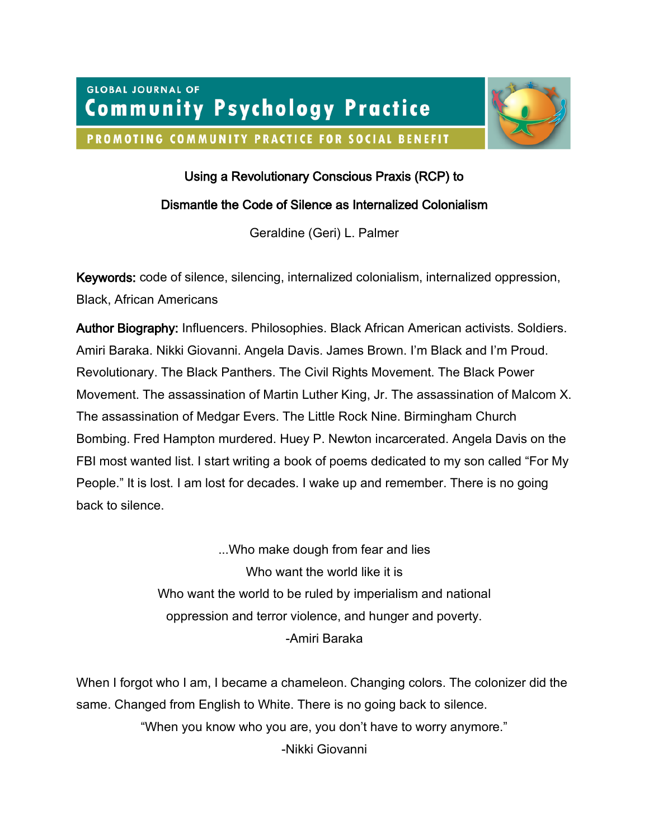**GLOBAL JOURNAL OF Community Psychology Practice** 

PROMOTING COMMUNITY PRACTICE FOR SOCIAL BENEFIT



# Using a Revolutionary Conscious Praxis (RCP) to

### Dismantle the Code of Silence as Internalized Colonialism

Geraldine (Geri) L. Palmer

Keywords: code of silence, silencing, internalized colonialism, internalized oppression, Black, African Americans

Author Biography: Influencers. Philosophies. Black African American activists. Soldiers. Amiri Baraka. Nikki Giovanni. Angela Davis. James Brown. I'm Black and I'm Proud. Revolutionary. The Black Panthers. The Civil Rights Movement. The Black Power Movement. The assassination of Martin Luther King, Jr. The assassination of Malcom X. The assassination of Medgar Evers. The Little Rock Nine. Birmingham Church Bombing. Fred Hampton murdered. Huey P. Newton incarcerated. Angela Davis on the FBI most wanted list. I start writing a book of poems dedicated to my son called "For My People." It is lost. I am lost for decades. I wake up and remember. There is no going back to silence.

> ...Who make dough from fear and lies Who want the world like it is Who want the world to be ruled by imperialism and national oppression and terror violence, and hunger and poverty. -Amiri Baraka

When I forgot who I am, I became a chameleon. Changing colors. The colonizer did the same. Changed from English to White. There is no going back to silence. "When you know who you are, you don't have to worry anymore." -Nikki Giovanni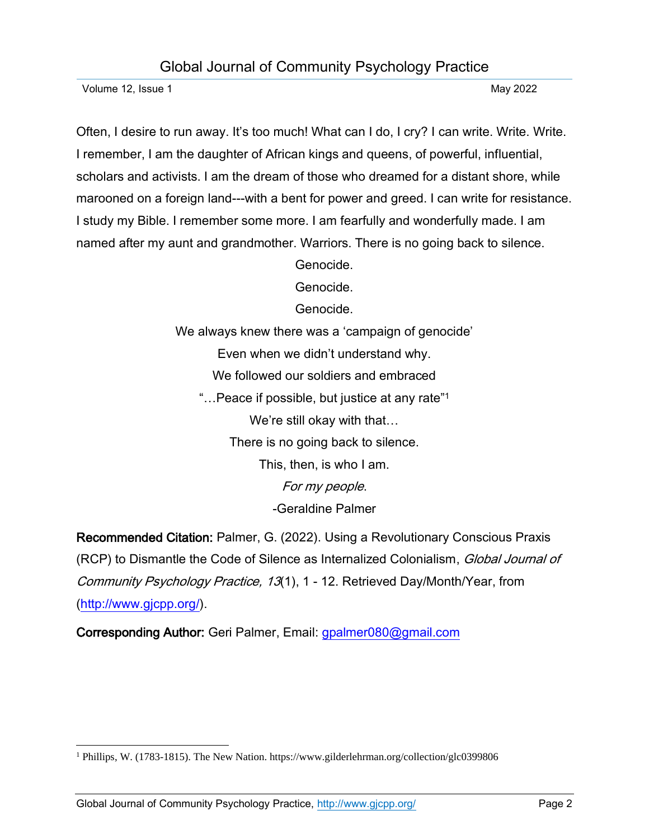Volume 12, Issue 1 May 2022

Often, I desire to run away. It's too much! What can I do, I cry? I can write. Write. Write. I remember, I am the daughter of African kings and queens, of powerful, influential, scholars and activists. I am the dream of those who dreamed for a distant shore, while marooned on a foreign land---with a bent for power and greed. I can write for resistance. I study my Bible. I remember some more. I am fearfully and wonderfully made. I am named after my aunt and grandmother. Warriors. There is no going back to silence.

Genocide.

Genocide.

Genocide.

We always knew there was a 'campaign of genocide' Even when we didn't understand why. We followed our soldiers and embraced "…Peace if possible, but justice at any rate"<sup>1</sup> We're still okay with that… There is no going back to silence. This, then, is who I am. For my people. -Geraldine Palmer

Recommended Citation: Palmer, G. (2022). Using a Revolutionary Conscious Praxis (RCP) to Dismantle the Code of Silence as Internalized Colonialism, Global Journal of Community Psychology Practice, 13(1), 1 - 12. Retrieved Day/Month/Year, from [\(http://www.gjcpp.org/\)](http://www.gjcpp.org/).

Corresponding Author: Geri Palmer, Email: [gpalmer080@gmail.com](mailto:gpalmer080@gmail.com)

<sup>1</sup> Phillips, W. (1783-1815). The New Nation. https://www.gilderlehrman.org/collection/glc0399806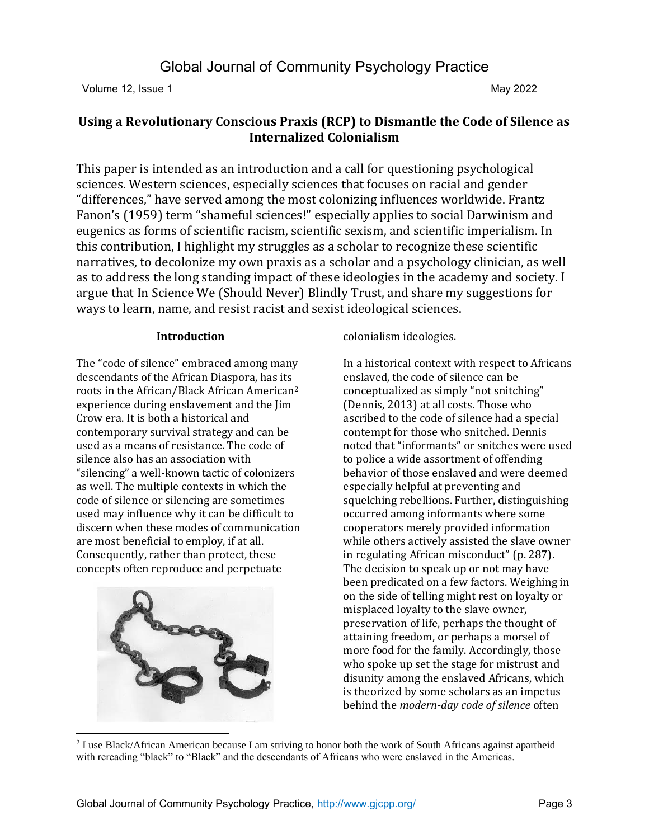### **Using a Revolutionary Conscious Praxis (RCP) to Dismantle the Code of Silence as Internalized Colonialism**

This paper is intended as an introduction and a call for questioning psychological sciences. Western sciences, especially sciences that focuses on racial and gender "differences," have served among the most colonizing influences worldwide. Frantz Fanon's (1959) term "shameful sciences!" especially applies to social Darwinism and eugenics as forms of scientific racism, scientific sexism, and scientific imperialism. In this contribution, I highlight my struggles as a scholar to recognize these scientific narratives, to decolonize my own praxis as a scholar and a psychology clinician, as well as to address the long standing impact of these ideologies in the academy and society. I argue that In Science We (Should Never) Blindly Trust, and share my suggestions for ways to learn, name, and resist racist and sexist ideological sciences.

#### **Introduction**

The "code of silence" embraced among many descendants of the African Diaspora, has its roots in the African/Black African American<sup>2</sup> experience during enslavement and the Jim Crow era. It is both a historical and contemporary survival strategy and can be used as a means of resistance. The code of silence also has an association with "silencing" a well-known tactic of colonizers as well. The multiple contexts in which the code of silence or silencing are sometimes used may influence why it can be difficult to discern when these modes of communication are most beneficial to employ, if at all. Consequently, rather than protect, these concepts often reproduce and perpetuate



colonialism ideologies.

In a historical context with respect to Africans enslaved, the code of silence can be conceptualized as simply "not snitching" (Dennis, 2013) at all costs. Those who ascribed to the code of silence had a special contempt for those who snitched. Dennis noted that "informants" or snitches were used to police a wide assortment of offending behavior of those enslaved and were deemed especially helpful at preventing and squelching rebellions. Further, distinguishing occurred among informants where some cooperators merely provided information while others actively assisted the slave owner in regulating African misconduct" (p. 287). The decision to speak up or not may have been predicated on a few factors. Weighing in on the side of telling might rest on loyalty or misplaced loyalty to the slave owner, preservation of life, perhaps the thought of attaining freedom, or perhaps a morsel of more food for the family. Accordingly, those who spoke up set the stage for mistrust and disunity among the enslaved Africans, which is theorized by some scholars as an impetus behind the *modern-day code of silence* often

<sup>2</sup> I use Black/African American because I am striving to honor both the work of South Africans against apartheid with rereading "black" to "Black" and the descendants of Africans who were enslaved in the Americas.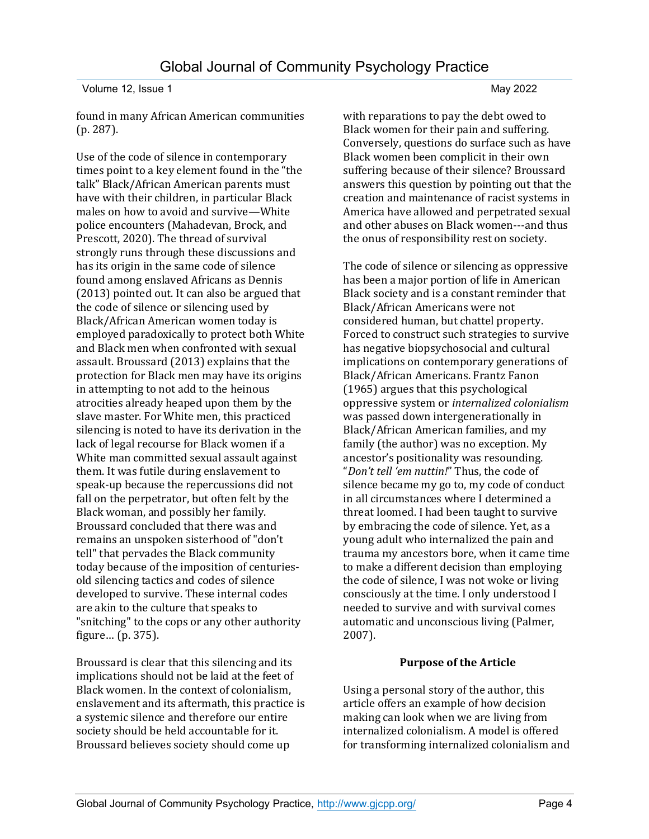found in many African American communities (p. 287).

Use of the code of silence in contemporary times point to a key element found in the "the talk" Black/African American parents must have with their children, in particular Black males on how to avoid and survive—White police encounters (Mahadevan, Brock, and Prescott, 2020). The thread of survival strongly runs through these discussions and has its origin in the same code of silence found among enslaved Africans as Dennis (2013) pointed out. It can also be argued that the code of silence or silencing used by Black/African American women today is employed paradoxically to protect both White and Black men when confronted with sexual assault. Broussard (2013) explains that the protection for Black men may have its origins in attempting to not add to the heinous atrocities already heaped upon them by the slave master. For White men, this practiced silencing is noted to have its derivation in the lack of legal recourse for Black women if a White man committed sexual assault against them. It was futile during enslavement to speak-up because the repercussions did not fall on the perpetrator, but often felt by the Black woman, and possibly her family. Broussard concluded that there was and remains an unspoken sisterhood of "don't tell" that pervades the Black community today because of the imposition of centuriesold silencing tactics and codes of silence developed to survive. These internal codes are akin to the culture that speaks to "snitching" to the cops or any other authority figure… (p. 375).

Broussard is clear that this silencing and its implications should not be laid at the feet of Black women. In the context of colonialism, enslavement and its aftermath, this practice is a systemic silence and therefore our entire society should be held accountable for it. Broussard believes society should come up

with reparations to pay the debt owed to Black women for their pain and suffering. Conversely, questions do surface such as have Black women been complicit in their own suffering because of their silence? Broussard answers this question by pointing out that the creation and maintenance of racist systems in America have allowed and perpetrated sexual and other abuses on Black women---and thus the onus of responsibility rest on society.

The code of silence or silencing as oppressive has been a major portion of life in American Black society and is a constant reminder that Black/African Americans were not considered human, but chattel property. Forced to construct such strategies to survive has negative biopsychosocial and cultural implications on contemporary generations of Black/African Americans. Frantz Fanon (1965) argues that this psychological oppressive system or *internalized colonialism* was passed down intergenerationally in Black/African American families, and my family (the author) was no exception. My ancestor's positionality was resounding. "*Don't tell 'em nuttin!*" Thus, the code of silence became my go to, my code of conduct in all circumstances where I determined a threat loomed. I had been taught to survive by embracing the code of silence. Yet, as a young adult who internalized the pain and trauma my ancestors bore, when it came time to make a different decision than employing the code of silence, I was not woke or living consciously at the time. I only understood I needed to survive and with survival comes automatic and unconscious living (Palmer, 2007).

#### **Purpose of the Article**

Using a personal story of the author, this article offers an example of how decision making can look when we are living from internalized colonialism. A model is offered for transforming internalized colonialism and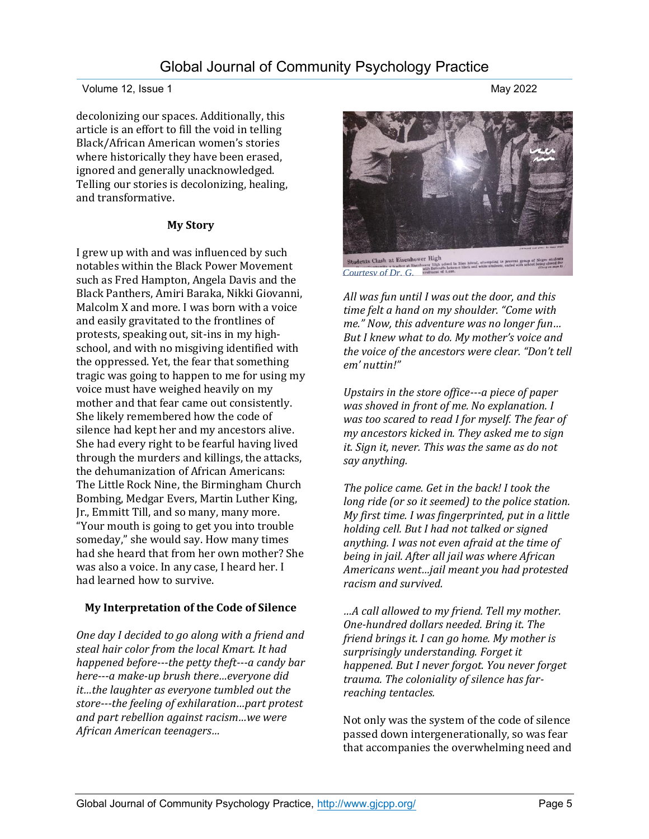#### Volume 12, Issue 1 May 2022

decolonizing our spaces. Additionally, this article is an effort to fill the void in telling Black/African American women's stories where historically they have been erased, ignored and generally unacknowledged. Telling our stories is decolonizing, healing, and transformative.

#### **My Story**

I grew up with and was influenced by such notables within the Black Power Movement such as Fred Hampton, Angela Davis and the Black Panthers, Amiri Baraka, Nikki Giovanni, Malcolm X and more. I was born with a voice and easily gravitated to the frontlines of protests, speaking out, sit-ins in my highschool, and with no misgiving identified with the oppressed. Yet, the fear that something tragic was going to happen to me for using my voice must have weighed heavily on my mother and that fear came out consistently. She likely remembered how the code of silence had kept her and my ancestors alive. She had every right to be fearful having lived through the murders and killings, the attacks, the dehumanization of African Americans: The Little Rock Nine, the Birmingham Church Bombing, Medgar Evers, Martin Luther King, Jr., Emmitt Till, and so many, many more. "Your mouth is going to get you into trouble someday," she would say. How many times had she heard that from her own mother? She was also a voice. In any case, I heard her. I had learned how to survive.

#### **My Interpretation of the Code of Silence**

*One day I decided to go along with a friend and steal hair color from the local Kmart. It had happened before---the petty theft---a candy bar here---a make-up brush there…everyone did it…the laughter as everyone tumbled out the store---the feeling of exhilaration…part protest and part rebellion against racism…we were African American teenagers…*

Students Clash at Eisenhower High to prevent group of Negro students *Courtesy of Dr. G. All was fun until I was out the door, and this* 

*time felt a hand on my shoulder. "Come with me." Now, this adventure was no longer fun… But I knew what to do. My mother's voice and the voice of the ancestors were clear. "Don't tell em' nuttin!"*

*Upstairs in the store office---a piece of paper was shoved in front of me. No explanation. I was too scared to read I for myself. The fear of my ancestors kicked in. They asked me to sign it. Sign it, never. This was the same as do not say anything.* 

*The police came. Get in the back! I took the long ride (or so it seemed) to the police station. My first time. I was fingerprinted, put in a little holding cell. But I had not talked or signed anything. I was not even afraid at the time of being in jail. After all jail was where African Americans went…jail meant you had protested racism and survived.* 

*…A call allowed to my friend. Tell my mother. One-hundred dollars needed. Bring it. The friend brings it. I can go home. My mother is surprisingly understanding. Forget it happened. But I never forgot. You never forget trauma. The coloniality of silence has farreaching tentacles.*

Not only was the system of the code of silence passed down intergenerationally, so was fear that accompanies the overwhelming need and

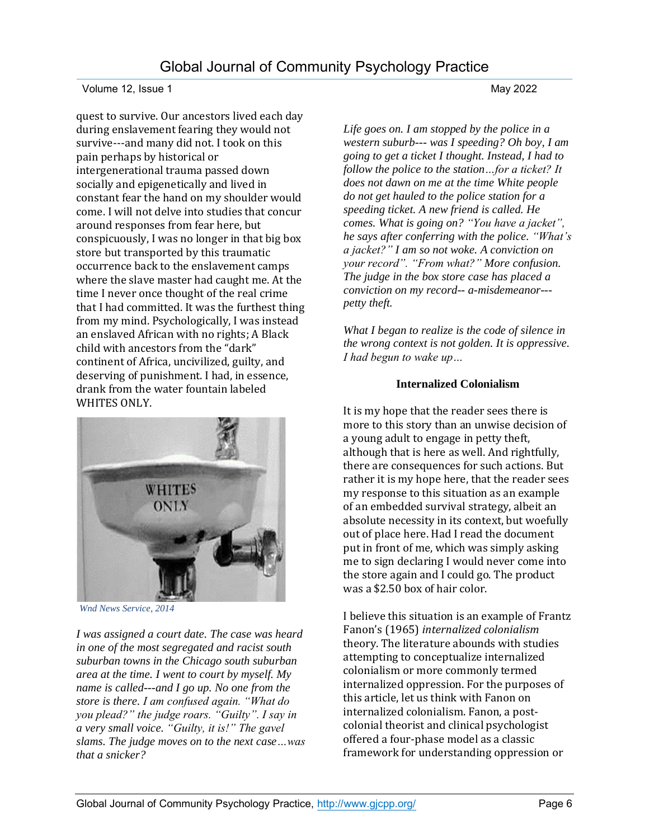quest to survive. Our ancestors lived each day during enslavement fearing they would not survive---and many did not. I took on this pain perhaps by historical or intergenerational trauma passed down socially and epigenetically and lived in constant fear the hand on my shoulder would come. I will not delve into studies that concur around responses from fear here, but conspicuously, I was no longer in that big box store but transported by this traumatic occurrence back to the enslavement camps where the slave master had caught me. At the time I never once thought of the real crime that I had committed. It was the furthest thing from my mind. Psychologically, I was instead an enslaved African with no rights; A Black child with ancestors from the "dark" continent of Africa, uncivilized, guilty, and deserving of punishment. I had, in essence, drank from the water fountain labeled WHITES ONLY.



*Wnd News Service, 2014*

*I was assigned a court date. The case was heard in one of the most segregated and racist south suburban towns in the Chicago south suburban area at the time. I went to court by myself. My name is called---and I go up. No one from the store is there. I am confused again. "What do you plead?" the judge roars. "Guilty". I say in a very small voice. "Guilty, it is!" The gavel slams. The judge moves on to the next case…was that a snicker?*

*Life goes on. I am stopped by the police in a western suburb--- was I speeding? Oh boy, I am going to get a ticket I thought. Instead, I had to follow the police to the station…for a ticket? It does not dawn on me at the time White people do not get hauled to the police station for a speeding ticket. A new friend is called. He comes. What is going on? "You have a jacket", he says after conferring with the police. "What's a jacket?" I am so not woke. A conviction on your record". "From what?" More confusion. The judge in the box store case has placed a conviction on my record-- a-misdemeanor-- petty theft.* 

*What I began to realize is the code of silence in the wrong context is not golden. It is oppressive. I had begun to wake up…*

#### **Internalized Colonialism**

It is my hope that the reader sees there is more to this story than an unwise decision of a young adult to engage in petty theft, although that is here as well. And rightfully, there are consequences for such actions. But rather it is my hope here, that the reader sees my response to this situation as an example of an embedded survival strategy, albeit an absolute necessity in its context, but woefully out of place here. Had I read the document put in front of me, which was simply asking me to sign declaring I would never come into the store again and I could go. The product was a \$2.50 box of hair color.

I believe this situation is an example of Frantz Fanon's (1965) *internalized colonialism* theory. The literature abounds with studies attempting to conceptualize internalized colonialism or more commonly termed internalized oppression. For the purposes of this article, let us think with Fanon on internalized colonialism. Fanon, a postcolonial theorist and clinical psychologist offered a four-phase model as a classic framework for understanding oppression or

## Global Journal of Community Psychology Practice,<http://www.gjcpp.org/> Page 6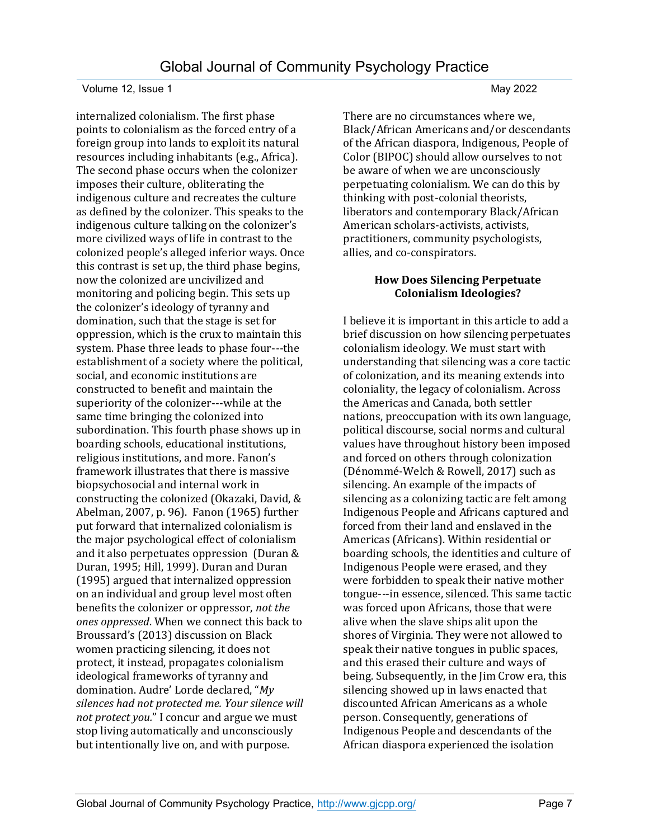internalized colonialism. The first phase points to colonialism as the forced entry of a foreign group into lands to exploit its natural resources including inhabitants (e.g., Africa). The second phase occurs when the colonizer imposes their culture, obliterating the indigenous culture and recreates the culture as defined by the colonizer. This speaks to the indigenous culture talking on the colonizer's more civilized ways of life in contrast to the colonized people's alleged inferior ways. Once this contrast is set up, the third phase begins, now the colonized are uncivilized and monitoring and policing begin. This sets up the colonizer's ideology of tyranny and domination, such that the stage is set for oppression, which is the crux to maintain this system. Phase three leads to phase four---the establishment of a society where the political, social, and economic institutions are constructed to benefit and maintain the superiority of the colonizer---while at the same time bringing the colonized into subordination. This fourth phase shows up in boarding schools, educational institutions, religious institutions, and more. Fanon's framework illustrates that there is massive biopsychosocial and internal work in constructing the colonized (Okazaki, David, & Abelman, 2007, p. 96). Fanon (1965) further put forward that internalized colonialism is the major psychological effect of colonialism and it also perpetuates oppression (Duran & Duran, 1995; Hill, 1999). Duran and Duran (1995) argued that internalized oppression on an individual and group level most often benefits the colonizer or oppressor, *not the ones oppressed*. When we connect this back to Broussard's (2013) discussion on Black women practicing silencing, it does not protect, it instead, propagates colonialism ideological frameworks of tyranny and domination. Audre' Lorde declared, "*My silences had not protected me. Your silence will not protect you.*" I concur and argue we must stop living automatically and unconsciously but intentionally live on, and with purpose.

There are no circumstances where we, Black/African Americans and/or descendants of the African diaspora, Indigenous, People of Color (BIPOC) should allow ourselves to not be aware of when we are unconsciously perpetuating colonialism. We can do this by thinking with post-colonial theorists, liberators and contemporary Black/African American scholars-activists, activists, practitioners, community psychologists, allies, and co-conspirators.

#### **How Does Silencing Perpetuate Colonialism Ideologies?**

I believe it is important in this article to add a brief discussion on how silencing perpetuates colonialism ideology. We must start with understanding that silencing was a core tactic of colonization, and its meaning extends into coloniality, the legacy of colonialism. Across the Americas and Canada, both settler nations, preoccupation with its own language, political discourse, social norms and cultural values have throughout history been imposed and forced on others through colonization (Dénommé-Welch & Rowell, 2017) such as silencing. An example of the impacts of silencing as a colonizing tactic are felt among Indigenous People and Africans captured and forced from their land and enslaved in the Americas (Africans). Within residential or boarding schools, the identities and culture of Indigenous People were erased, and they were forbidden to speak their native mother tongue---in essence, silenced. This same tactic was forced upon Africans, those that were alive when the slave ships alit upon the shores of Virginia. They were not allowed to speak their native tongues in public spaces, and this erased their culture and ways of being. Subsequently, in the Jim Crow era, this silencing showed up in laws enacted that discounted African Americans as a whole person. Consequently, generations of Indigenous People and descendants of the African diaspora experienced the isolation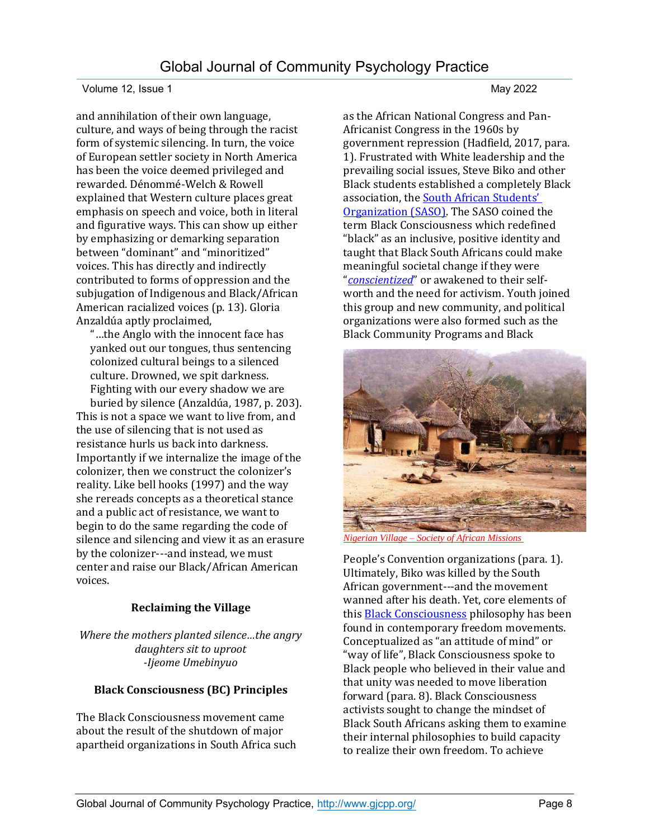and annihilation of their own language, culture, and ways of being through the racist form of systemic silencing. In turn, the voice of European settler society in North America has been the voice deemed privileged and rewarded. Dénommé-Welch & Rowell explained that Western culture places great emphasis on speech and voice, both in literal and figurative ways. This can show up either by emphasizing or demarking separation between "dominant" and "minoritized" voices. This has directly and indirectly contributed to forms of oppression and the subjugation of Indigenous and Black/African American racialized voices (p. 13). Gloria Anzaldúa aptly proclaimed,

"…the Anglo with the innocent face has yanked out our tongues, thus sentencing colonized cultural beings to a silenced culture. Drowned, we spit darkness. Fighting with our every shadow we are

buried by silence (Anzaldúa, 1987, p. 203). This is not a space we want to live from, and the use of silencing that is not used as resistance hurls us back into darkness. Importantly if we internalize the image of the colonizer, then we construct the colonizer's reality. Like bell hooks (1997) and the way she rereads concepts as a theoretical stance and a public act of resistance, we want to begin to do the same regarding the code of silence and silencing and view it as an erasure by the colonizer---and instead, we must center and raise our Black/African American voices.

#### **Reclaiming the Village**

*Where the mothers planted silence…the angry daughters sit to uproot -Ijeome Umebinyuo*

### **Black Consciousness (BC) Principles**

The Black Consciousness movement came about the result of the shutdown of major apartheid organizations in South Africa such

as the African National Congress and Pan-Africanist Congress in the 1960s by government repression (Hadfield, 2017, para. 1). Frustrated with White leadership and the prevailing social issues, Steve Biko and other Black students established a completely Black association, the [South African Stu](https://www.sahistory.org.za/article/south-african-student-organisation-saso)dents' [Organization \(SASO\).](https://www.sahistory.org.za/article/south-african-student-organisation-saso) The SASO coined the term Black Consciousness which redefined "black" as an inclusive, positive identity and taught that Black South Africans could make meaningful societal change if they were "*[conscientized](https://www.lexico.com/en/definition/conscientize)*" or awakened to their selfworth and the need for activism. Youth joined this group and new community, and political organizations were also formed such as the Black Community Programs and Black



*Nigerian Village – [Society of African Missions](https://sma.ie/nigerian-village-2/)* 

People's Convention organizations (para. 1). Ultimately, Biko was killed by the South African government---and the movement wanned after his death. Yet, core elements of this **Black Consciousness** philosophy has been found in contemporary freedom movements. Conceptualized as "an attitude of mind" or "way of life", Black Consciousness spoke to Black people who believed in their value and that unity was needed to move liberation forward (para. 8). Black Consciousness activists sought to change the mindset of Black South Africans asking them to examine their internal philosophies to build capacity to realize their own freedom. To achieve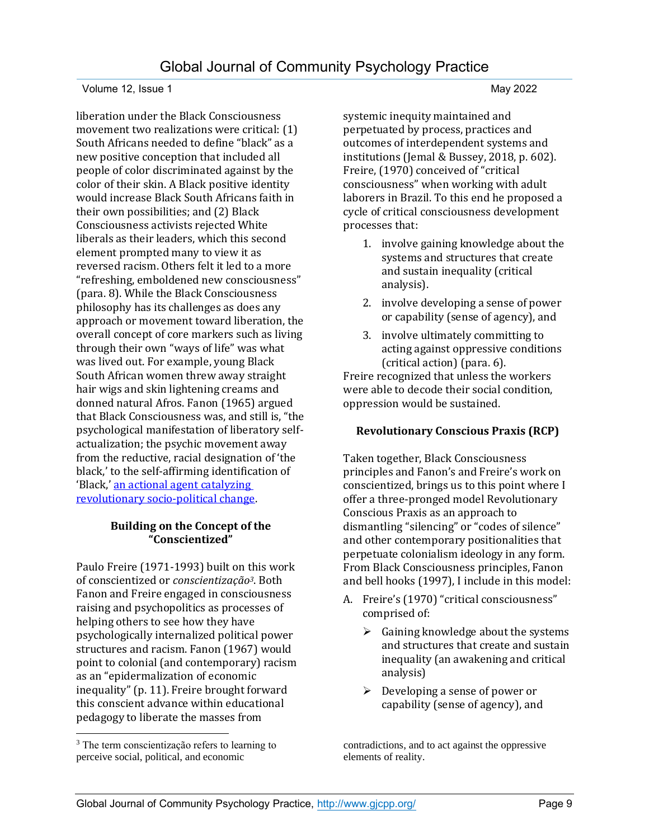liberation under the Black Consciousness movement two realizations were critical: (1) South Africans needed to define "black" as a new positive conception that included all people of color discriminated against by the color of their skin. A Black positive identity would increase Black South Africans faith in their own possibilities; and (2) Black Consciousness activists rejected White liberals as their leaders, which this second element prompted many to view it as reversed racism. Others felt it led to a more "refreshing, emboldened new consciousness" (para. 8). While the Black Consciousness philosophy has its challenges as does any approach or movement toward liberation, the overall concept of core markers such as living through their own "ways of life" was what was lived out. For example, young Black South African women threw away straight hair wigs and skin lightening creams and donned natural Afros. Fanon (1965) argued that Black Consciousness was, and still is, "the psychological manifestation of liberatory selfactualization; the psychic movement away from the reductive, racial designation of 'the black,' to the self-affirming identification of 'Black,' [an actional agent catalyzing](https://link.springer.com/chapter/10.1057/978-1-349-95816-0_13)  [revolutionary socio-political change.](https://link.springer.com/chapter/10.1057/978-1-349-95816-0_13)

#### **Building on the Concept of the "Conscientized"**

Paulo Freire (1971-1993) built on this work of conscientized or *conscientizaҫão3*. Both Fanon and Freire engaged in consciousness raising and psychopolitics as processes of helping others to see how they have psychologically internalized political power structures and racism. Fanon (1967) would point to colonial (and contemporary) racism as an "epidermalization of economic inequality" (p. 11). Freire brought forward this conscient advance within educational pedagogy to liberate the masses from

systemic inequity maintained and perpetuated by process, practices and outcomes of interdependent systems and institutions (Jemal & Bussey, 2018, p. 602). Freire, (1970) conceived of "critical consciousness" when working with adult laborers in Brazil. To this end he proposed a cycle of critical consciousness development processes that:

- 1. involve gaining knowledge about the systems and structures that create and sustain inequality (critical analysis).
- 2. involve developing a sense of power or capability (sense of agency), and
- 3. involve ultimately committing to acting against oppressive conditions (critical action) (para. 6).

Freire recognized that unless the workers were able to decode their social condition, oppression would be sustained.

#### **Revolutionary Conscious Praxis (RCP)**

Taken together, Black Consciousness principles and Fanon's and Freire's work on conscientized, brings us to this point where I offer a three-pronged model Revolutionary Conscious Praxis as an approach to dismantling "silencing" or "codes of silence" and other contemporary positionalities that perpetuate colonialism ideology in any form. From Black Consciousness principles, Fanon and bell hooks (1997), I include in this model:

- A. Freire's (1970) "critical consciousness" comprised of:
	- $\triangleright$  Gaining knowledge about the systems and structures that create and sustain inequality (an awakening and critical analysis)
	- $\triangleright$  Developing a sense of power or capability (sense of agency), and

contradictions, and to act against the oppressive elements of reality.

<sup>&</sup>lt;sup>3</sup> The term conscientização refers to learning to perceive social, political, and economic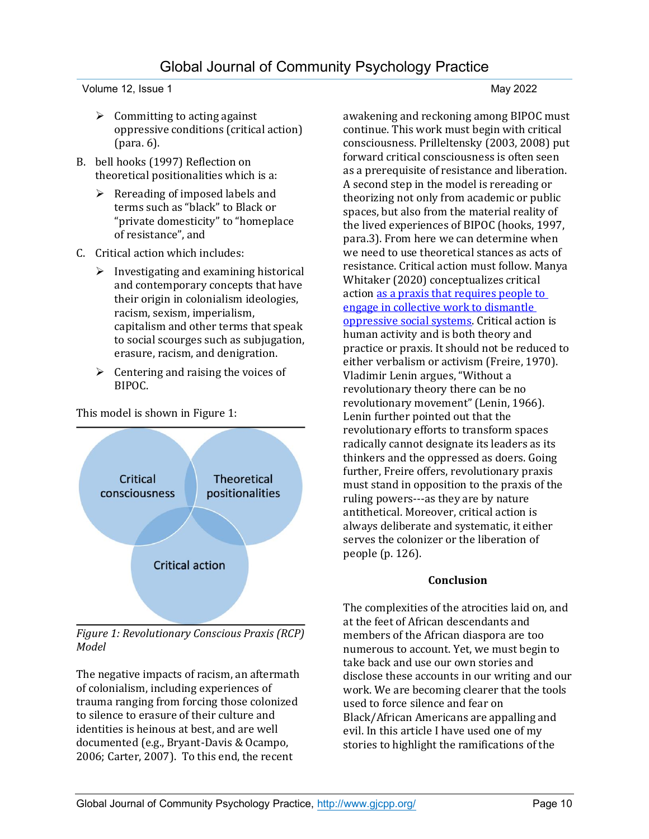Volume 12, Issue 1 May 2022

- $\triangleright$  Committing to acting against oppressive conditions (critical action) (para. 6).
- B. bell hooks (1997) Reflection on theoretical positionalities which is a:
	- $\triangleright$  Rereading of imposed labels and terms such as "black" to Black or "private domesticity" to "homeplace of resistance", and
- C. Critical action which includes:
	- $\triangleright$  Investigating and examining historical and contemporary concepts that have their origin in colonialism ideologies, racism, sexism, imperialism, capitalism and other terms that speak to social scourges such as subjugation, erasure, racism, and denigration.
	- $\triangleright$  Centering and raising the voices of BIPOC.



This model is shown in Figure 1:

*Figure 1: Revolutionary Conscious Praxis (RCP) Model*

The negative impacts of racism, an aftermath of colonialism, including experiences of trauma ranging from forcing those colonized to silence to erasure of their culture and identities is heinous at best, and are well documented (e.g., Bryant-Davis & Ocampo, 2006; Carter, 2007). To this end, the recent

awakening and reckoning among BIPOC must continue. This work must begin with critical consciousness. Prilleltensky (2003, 2008) put forward critical consciousness is often seen as a prerequisite of resistance and liberation. A second step in the model is rereading or theorizing not only from academic or public spaces, but also from the material reality of the lived experiences of BIPOC (hooks, 1997, para.3). From here we can determine when we need to use theoretical stances as acts of resistance. Critical action must follow. Manya Whitaker (2020) conceptualizes critical actio[n as a praxis that requires people to](https://www.igi-global.com/dictionary/utilizing-feminist-pedagogy-to-foster-preservice-teachers-critical-consciousness/62914)  [engage in collective work to dismantle](https://www.igi-global.com/dictionary/utilizing-feminist-pedagogy-to-foster-preservice-teachers-critical-consciousness/62914)  [oppressive social systems.](https://www.igi-global.com/dictionary/utilizing-feminist-pedagogy-to-foster-preservice-teachers-critical-consciousness/62914) Critical action is human activity and is both theory and practice or praxis. It should not be reduced to either verbalism or activism (Freire, 1970). Vladimir Lenin argues, "Without a revolutionary theory there can be no revolutionary movement" (Lenin, 1966). Lenin further pointed out that the revolutionary efforts to transform spaces radically cannot designate its leaders as its thinkers and the oppressed as doers. Going further, Freire offers, revolutionary praxis must stand in opposition to the praxis of the ruling powers---as they are by nature antithetical. Moreover, critical action is always deliberate and systematic, it either serves the colonizer or the liberation of people (p. 126).

#### **Conclusion**

The complexities of the atrocities laid on, and at the feet of African descendants and members of the African diaspora are too numerous to account. Yet, we must begin to take back and use our own stories and disclose these accounts in our writing and our work. We are becoming clearer that the tools used to force silence and fear on Black/African Americans are appalling and evil. In this article I have used one of my stories to highlight the ramifications of the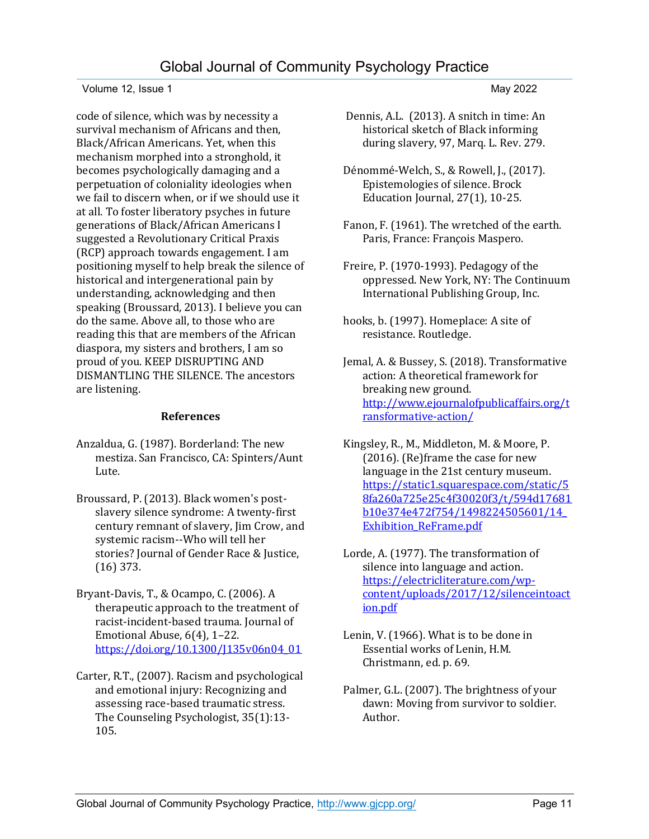#### Volume 12, Issue 1 May 2022

code of silence, which was by necessity a survival mechanism of Africans and then, Black/African Americans. Yet, when this mechanism morphed into a stronghold, it becomes psychologically damaging and a perpetuation of coloniality ideologies when we fail to discern when, or if we should use it at all. To foster liberatory psyches in future generations of Black/African Americans I suggested a Revolutionary Critical Praxis (RCP) approach towards engagement. I am positioning myself to help break the silence of historical and intergenerational pain by understanding, acknowledging and then speaking (Broussard, 2013). I believe you can do the same. Above all, to those who are reading this that are members of the African diaspora, my sisters and brothers, I am so proud of you. KEEP DISRUPTING AND DISMANTLING THE SILENCE. The ancestors are listening.

#### **References**

- Anzaldua, G. (1987). Borderland: The new mestiza. San Francisco, CA: Spinters/Aunt Lute.
- Broussard, P. (2013). Black women's postslavery silence syndrome: A twenty-first century remnant of slavery, Jim Crow, and systemic racism--Who will tell her stories? Journal of Gender Race & Justice, (16) 373.
- Bryant-Davis, T., & Ocampo, C. (2006). A therapeutic approach to the treatment of racist-incident-based trauma. Journal of Emotional Abuse, 6(4), 1–22. [https://doi.org/10.1300/J135v06n04\\_01](https://doi.org/10.1300/J135v06n04_01)
- Carter, R.T., (2007). Racism and psychological and emotional injury: Recognizing and assessing race-based traumatic stress. The Counseling Psychologist, 35(1):13- 105.

- Dennis, A.L. (2013). A snitch in time: An historical sketch of Black informing during slavery, 97, Marq. L. Rev. 279.
- Dénommé-Welch, S., & Rowell, J., (2017). Epistemologies of silence. Brock Education Journal, 27(1), 10-25.
- Fanon, F. (1961). The wretched of the earth. Paris, France: François Maspero.
- Freire, P. (1970-1993). Pedagogy of the oppressed. New York, NY: The Continuum International Publishing Group, Inc.
- hooks, b. (1997). Homeplace: A site of resistance. Routledge.
- Jemal, A. & Bussey, S. (2018). Transformative action: A theoretical framework for breaking new ground. [http://www.ejournalofpublicaffairs.org/t](http://www.ejournalofpublicaffairs.org/transformative-action/) [ransformative-action/](http://www.ejournalofpublicaffairs.org/transformative-action/)
- Kingsley, R., M., Middleton, M. & Moore, P. (2016). (Re)frame the case for new language in the 21st century museum. [https://static1.squarespace.com/static/5](https://static1.squarespace.com/static/58fa260a725e25c4f30020f3/t/594d17681b10e374e472f754/1498224505601/14_Exhibition_ReFrame.pdf) [8fa260a725e25c4f30020f3/t/594d17681](https://static1.squarespace.com/static/58fa260a725e25c4f30020f3/t/594d17681b10e374e472f754/1498224505601/14_Exhibition_ReFrame.pdf) [b10e374e472f754/1498224505601/14\\_](https://static1.squarespace.com/static/58fa260a725e25c4f30020f3/t/594d17681b10e374e472f754/1498224505601/14_Exhibition_ReFrame.pdf) [Exhibition\\_ReFrame.pdf](https://static1.squarespace.com/static/58fa260a725e25c4f30020f3/t/594d17681b10e374e472f754/1498224505601/14_Exhibition_ReFrame.pdf)
- Lorde, A. (1977). The transformation of silence into language and action. [https://electricliterature.com/wp](https://electricliterature.com/wp-content/uploads/2017/12/silenceintoaction.pdf)[content/uploads/2017/12/silenceintoact](https://electricliterature.com/wp-content/uploads/2017/12/silenceintoaction.pdf) [ion.pdf](https://electricliterature.com/wp-content/uploads/2017/12/silenceintoaction.pdf)
- Lenin, V. (1966). What is to be done in Essential works of Lenin, H.M. Christmann, ed. p. 69.
- Palmer, G.L. (2007). The brightness of your dawn: Moving from survivor to soldier. Author.